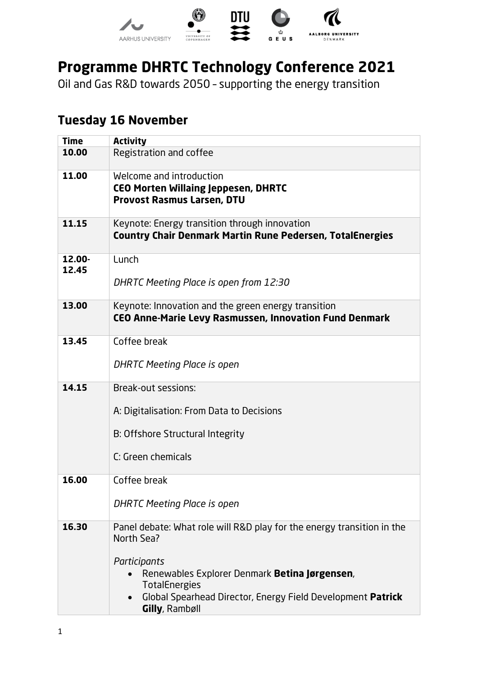

# **Programme DHRTC Technology Conference 2021**

Oil and Gas R&D towards 2050 – supporting the energy transition

## **Tuesday 16 November**

| <b>Time</b>     | <b>Activity</b>                                                                                                                                                                                                                                                |
|-----------------|----------------------------------------------------------------------------------------------------------------------------------------------------------------------------------------------------------------------------------------------------------------|
| 10.00           | Registration and coffee                                                                                                                                                                                                                                        |
| 11.00           | Welcome and introduction<br><b>CEO Morten Willaing Jeppesen, DHRTC</b><br><b>Provost Rasmus Larsen, DTU</b>                                                                                                                                                    |
| 11.15           | Keynote: Energy transition through innovation<br><b>Country Chair Denmark Martin Rune Pedersen, TotalEnergies</b>                                                                                                                                              |
| 12.00-<br>12.45 | Lunch<br>DHRTC Meeting Place is open from 12:30                                                                                                                                                                                                                |
| 13.00           | Keynote: Innovation and the green energy transition<br>CEO Anne-Marie Levy Rasmussen, Innovation Fund Denmark                                                                                                                                                  |
| 13.45           | Coffee break<br>DHRTC Meeting Place is open                                                                                                                                                                                                                    |
| 14.15           | Break-out sessions:<br>A: Digitalisation: From Data to Decisions<br>B: Offshore Structural Integrity<br>C: Green chemicals                                                                                                                                     |
| 16.00           | Coffee break<br>DHRTC Meeting Place is open                                                                                                                                                                                                                    |
| 16.30           | Panel debate: What role will R&D play for the energy transition in the<br>North Sea?<br>Participants<br>Renewables Explorer Denmark Betina Jørgensen,<br><b>TotalEnergies</b><br>Global Spearhead Director, Energy Field Development Patrick<br>Gilly, Rambøll |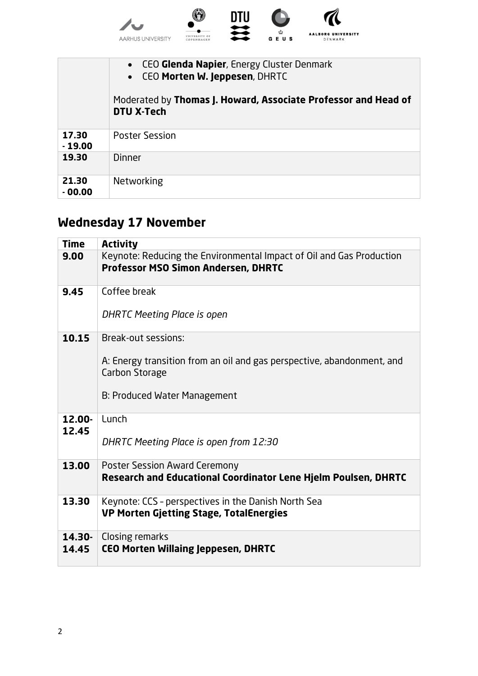

|                   | • CEO Glenda Napier, Energy Cluster Denmark<br>• CEO Morten W. Jeppesen, DHRTC<br>Moderated by Thomas J. Howard, Associate Professor and Head of<br>DTU X-Tech |
|-------------------|----------------------------------------------------------------------------------------------------------------------------------------------------------------|
| 17.30<br>$-19.00$ | <b>Poster Session</b>                                                                                                                                          |
| 19.30             | <b>Dinner</b>                                                                                                                                                  |
| 21.30<br>$-00.00$ | Networking                                                                                                                                                     |

# **Wednesday 17 November**

| <b>Time</b>     | <b>Activity</b>                                                                                                    |
|-----------------|--------------------------------------------------------------------------------------------------------------------|
| 9.00            | Keynote: Reducing the Environmental Impact of Oil and Gas Production<br><b>Professor MSO Simon Andersen, DHRTC</b> |
| 9.45            | Coffee break                                                                                                       |
|                 | DHRTC Meeting Place is open                                                                                        |
| 10.15           | Break-out sessions:                                                                                                |
|                 | A: Energy transition from an oil and gas perspective, abandonment, and<br>Carbon Storage                           |
|                 | B: Produced Water Management                                                                                       |
| 12.00-<br>12.45 | Lunch                                                                                                              |
|                 | DHRTC Meeting Place is open from 12:30                                                                             |
| 13.00           | <b>Poster Session Award Ceremony</b><br><b>Research and Educational Coordinator Lene Hjelm Poulsen, DHRTC</b>      |
| 13.30           | Keynote: CCS - perspectives in the Danish North Sea<br><b>VP Morten Gjetting Stage, TotalEnergies</b>              |
| 14.30-<br>14.45 | Closing remarks<br><b>CEO Morten Willaing Jeppesen, DHRTC</b>                                                      |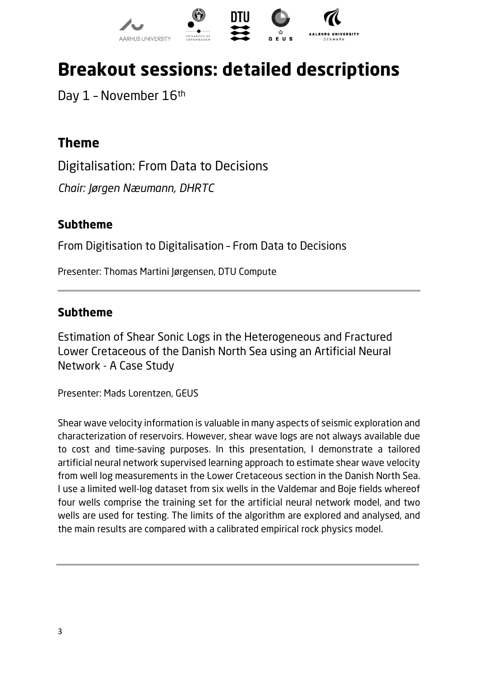

# **Breakout sessions: detailed descriptions**

Day 1 - November 16th

# **Theme**

Digitalisation: From Data to Decisions *Chair: Jørgen Næumann, DHRTC*

#### **Subtheme**

From Digitisation to Digitalisation – From Data to Decisions

Presenter: Thomas Martini Jørgensen, DTU Compute

#### **Subtheme**

Estimation of Shear Sonic Logs in the Heterogeneous and Fractured Lower Cretaceous of the Danish North Sea using an Artificial Neural Network - A Case Study

Presenter: Mads Lorentzen, GEUS

Shear wave velocity information is valuable in many aspects of seismic exploration and characterization of reservoirs. However, shear wave logs are not always available due to cost and time-saving purposes. In this presentation, I demonstrate a tailored artificial neural network supervised learning approach to estimate shear wave velocity from well log measurements in the Lower Cretaceous section in the Danish North Sea. I use a limited well-log dataset from six wells in the Valdemar and Boje fields whereof four wells comprise the training set for the artificial neural network model, and two wells are used for testing. The limits of the algorithm are explored and analysed, and the main results are compared with a calibrated empirical rock physics model.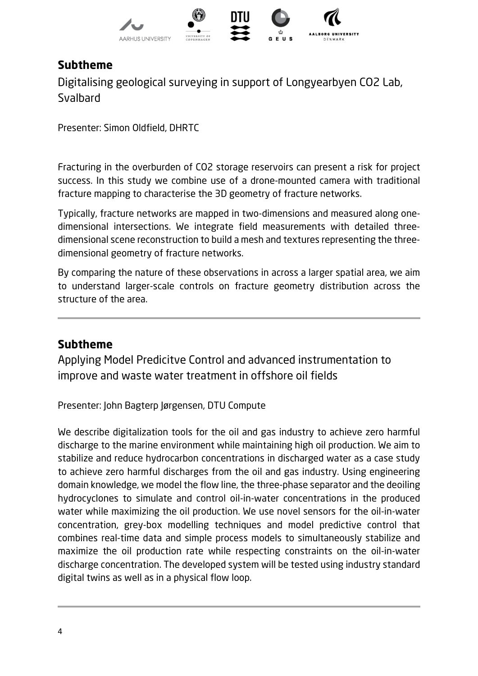

Digitalising geological surveying in support of Longyearbyen CO2 Lab, **Svalbard** 

Presenter: Simon Oldfield, DHRTC

Fracturing in the overburden of CO2 storage reservoirs can present a risk for project success. In this study we combine use of a drone-mounted camera with traditional fracture mapping to characterise the 3D geometry of fracture networks.

Typically, fracture networks are mapped in two-dimensions and measured along onedimensional intersections. We integrate field measurements with detailed threedimensional scene reconstruction to build a mesh and textures representing the threedimensional geometry of fracture networks.

By comparing the nature of these observations in across a larger spatial area, we aim to understand larger-scale controls on fracture geometry distribution across the structure of the area.

#### **Subtheme**

Applying Model Predicitve Control and advanced instrumentation to improve and waste water treatment in offshore oil fields

Presenter: John Bagterp Jørgensen, DTU Compute

We describe digitalization tools for the oil and gas industry to achieve zero harmful discharge to the marine environment while maintaining high oil production. We aim to stabilize and reduce hydrocarbon concentrations in discharged water as a case study to achieve zero harmful discharges from the oil and gas industry. Using engineering domain knowledge, we model the flow line, the three-phase separator and the deoiling hydrocyclones to simulate and control oil-in-water concentrations in the produced water while maximizing the oil production. We use novel sensors for the oil-in-water concentration, grey-box modelling techniques and model predictive control that combines real-time data and simple process models to simultaneously stabilize and maximize the oil production rate while respecting constraints on the oil-in-water discharge concentration. The developed system will be tested using industry standard digital twins as well as in a physical flow loop.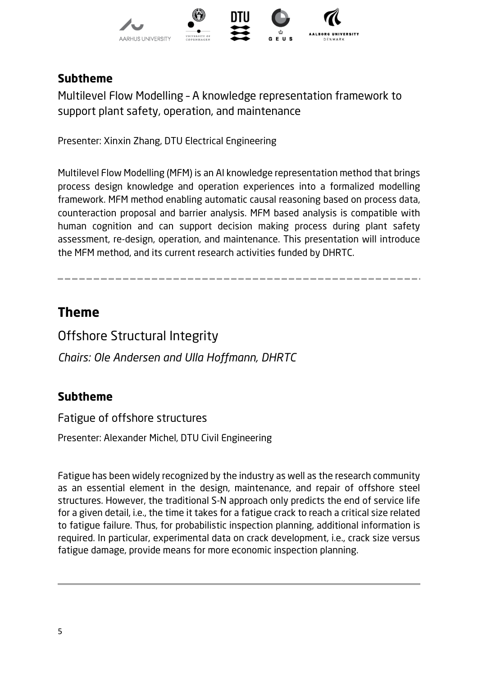

Multilevel Flow Modelling – A knowledge representation framework to support plant safety, operation, and maintenance

Presenter: Xinxin Zhang, DTU Electrical Engineering

Multilevel Flow Modelling (MFM) is an AI knowledge representation method that brings process design knowledge and operation experiences into a formalized modelling framework. MFM method enabling automatic causal reasoning based on process data, counteraction proposal and barrier analysis. MFM based analysis is compatible with human cognition and can support decision making process during plant safety assessment, re-design, operation, and maintenance. This presentation will introduce the MFM method, and its current research activities funded by DHRTC.

# **Theme**

Offshore Structural Integrity

*Chairs: Ole Andersen and Ulla Hoffmann, DHRTC*

### **Subtheme**

Fatigue of offshore structures

Presenter: Alexander Michel, DTU Civil Engineering

Fatigue has been widely recognized by the industry as well as the research community as an essential element in the design, maintenance, and repair of offshore steel structures. However, the traditional S-N approach only predicts the end of service life for a given detail, i.e., the time it takes for a fatigue crack to reach a critical size related to fatigue failure. Thus, for probabilistic inspection planning, additional information is required. In particular, experimental data on crack development, i.e., crack size versus fatigue damage, provide means for more economic inspection planning.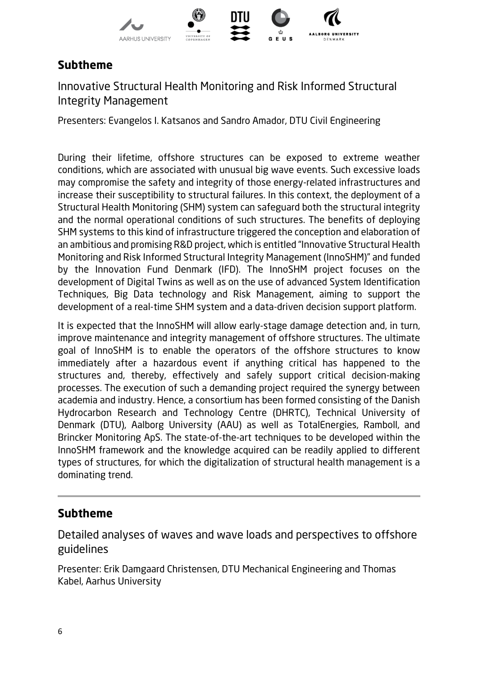

Innovative Structural Health Monitoring and Risk Informed Structural Integrity Management

Presenters: Evangelos I. Katsanos and Sandro Amador, DTU Civil Engineering

During their lifetime, offshore structures can be exposed to extreme weather conditions, which are associated with unusual big wave events. Such excessive loads may compromise the safety and integrity of those energy-related infrastructures and increase their susceptibility to structural failures. In this context, the deployment of a Structural Health Monitoring (SHM) system can safeguard both the structural integrity and the normal operational conditions of such structures. The benefits of deploying SHM systems to this kind of infrastructure triggered the conception and elaboration of an ambitious and promising R&D project, which is entitled "Innovative Structural Health Monitoring and Risk Informed Structural Integrity Management (InnoSHM)" and funded by the Innovation Fund Denmark (IFD). The InnoSHM project focuses on the development of Digital Twins as well as on the use of advanced System Identification Techniques, Big Data technology and Risk Management, aiming to support the development of a real-time SHM system and a data-driven decision support platform.

It is expected that the InnoSHM will allow early-stage damage detection and, in turn, improve maintenance and integrity management of offshore structures. The ultimate goal of InnoSHM is to enable the operators of the offshore structures to know immediately after a hazardous event if anything critical has happened to the structures and, thereby, effectively and safely support critical decision-making processes. The execution of such a demanding project required the synergy between academia and industry. Hence, a consortium has been formed consisting of the Danish Hydrocarbon Research and Technology Centre (DHRTC), Technical University of Denmark (DTU), Aalborg University (AAU) as well as TotalEnergies, Ramboll, and Brincker Monitoring ApS. The state-of-the-art techniques to be developed within the InnoSHM framework and the knowledge acquired can be readily applied to different types of structures, for which the digitalization of structural health management is a dominating trend.

#### **Subtheme**

Detailed analyses of waves and wave loads and perspectives to offshore guidelines

Presenter: Erik Damgaard Christensen, DTU Mechanical Engineering and Thomas Kabel, Aarhus University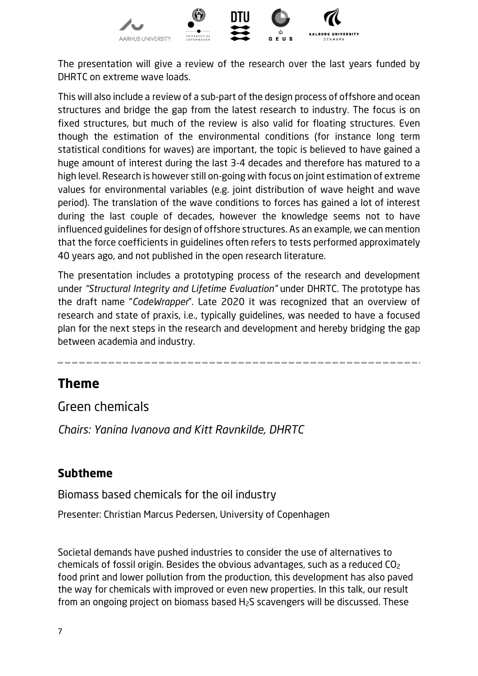

The presentation will give a review of the research over the last years funded by DHRTC on extreme wave loads.

This will also include a review of a sub-part of the design process of offshore and ocean structures and bridge the gap from the latest research to industry. The focus is on fixed structures, but much of the review is also valid for floating structures. Even though the estimation of the environmental conditions (for instance long term statistical conditions for waves) are important, the topic is believed to have gained a huge amount of interest during the last 3-4 decades and therefore has matured to a high level. Research is however still on-going with focus on joint estimation of extreme values for environmental variables (e.g. joint distribution of wave height and wave period). The translation of the wave conditions to forces has gained a lot of interest during the last couple of decades, however the knowledge seems not to have influenced guidelines for design of offshore structures. As an example, we can mention that the force coefficients in guidelines often refers to tests performed approximately 40 years ago, and not published in the open research literature.

The presentation includes a prototyping process of the research and development under *"Structural Integrity and Lifetime Evaluation"* under DHRTC. The prototype has the draft name "*CodeWrapper*". Late 2020 it was recognized that an overview of research and state of praxis, i.e., typically guidelines, was needed to have a focused plan for the next steps in the research and development and hereby bridging the gap between academia and industry.

#### **Theme**

Green chemicals

*Chairs: Yanina Ivanova and Kitt Ravnkilde, DHRTC*

#### **Subtheme**

Biomass based chemicals for the oil industry

Presenter: Christian Marcus Pedersen, University of Copenhagen

Societal demands have pushed industries to consider the use of alternatives to chemicals of fossil origin. Besides the obvious advantages, such as a reduced CO2 food print and lower pollution from the production, this development has also paved the way for chemicals with improved or even new properties. In this talk, our result from an ongoing project on biomass based H2S scavengers will be discussed. These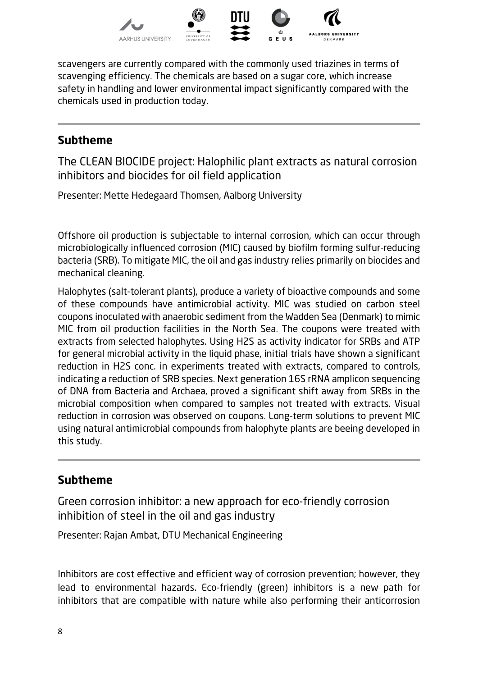

scavengers are currently compared with the commonly used triazines in terms of scavenging efficiency. The chemicals are based on a sugar core, which increase safety in handling and lower environmental impact significantly compared with the chemicals used in production today.

#### **Subtheme**

The CLEAN BIOCIDE project: Halophilic plant extracts as natural corrosion inhibitors and biocides for oil field application

Presenter: Mette Hedegaard Thomsen, Aalborg University

Offshore oil production is subjectable to internal corrosion, which can occur through microbiologically influenced corrosion (MIC) caused by biofilm forming sulfur-reducing bacteria (SRB). To mitigate MIC, the oil and gas industry relies primarily on biocides and mechanical cleaning.

Halophytes (salt-tolerant plants), produce a variety of bioactive compounds and some of these compounds have antimicrobial activity. MIC was studied on carbon steel coupons inoculated with anaerobic sediment from the Wadden Sea (Denmark) to mimic MIC from oil production facilities in the North Sea. The coupons were treated with extracts from selected halophytes. Using H2S as activity indicator for SRBs and ATP for general microbial activity in the liquid phase, initial trials have shown a significant reduction in H2S conc. in experiments treated with extracts, compared to controls, indicating a reduction of SRB species. Next generation 16S rRNA amplicon sequencing of DNA from Bacteria and Archaea, proved a significant shift away from SRBs in the microbial composition when compared to samples not treated with extracts. Visual reduction in corrosion was observed on coupons. Long-term solutions to prevent MIC using natural antimicrobial compounds from halophyte plants are beeing developed in this study.

### **Subtheme**

Green corrosion inhibitor: a new approach for eco-friendly corrosion inhibition of steel in the oil and gas industry

Presenter: Rajan Ambat, DTU Mechanical Engineering

Inhibitors are cost effective and efficient way of corrosion prevention; however, they lead to environmental hazards. Eco-friendly (green) inhibitors is a new path for inhibitors that are compatible with nature while also performing their anticorrosion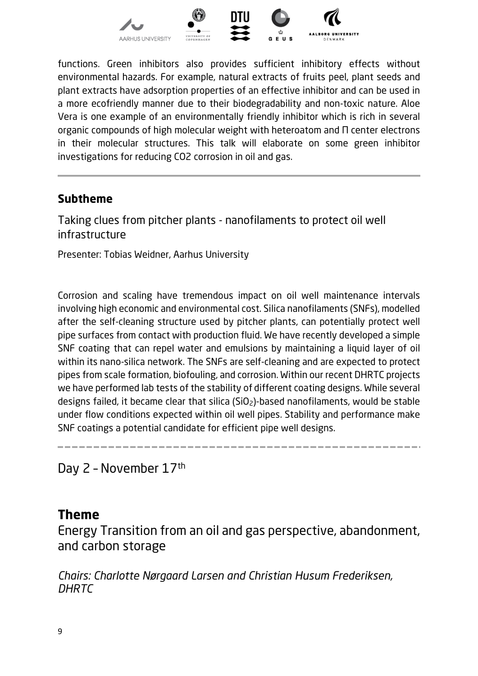

functions. Green inhibitors also provides sufficient inhibitory effects without environmental hazards. For example, natural extracts of fruits peel, plant seeds and plant extracts have adsorption properties of an effective inhibitor and can be used in a more ecofriendly manner due to their biodegradability and non-toxic nature. Aloe Vera is one example of an environmentally friendly inhibitor which is rich in several organic compounds of high molecular weight with heteroatom and Π center electrons in their molecular structures. This talk will elaborate on some green inhibitor investigations for reducing CO2 corrosion in oil and gas.

#### **Subtheme**

Taking clues from pitcher plants - nanofilaments to protect oil well infrastructure

Presenter: Tobias Weidner, Aarhus University

Corrosion and scaling have tremendous impact on oil well maintenance intervals involving high economic and environmental cost. Silica nanofilaments (SNFs), modelled after the self-cleaning structure used by pitcher plants, can potentially protect well pipe surfaces from contact with production fluid. We have recently developed a simple SNF coating that can repel water and emulsions by maintaining a liquid layer of oil within its nano-silica network. The SNFs are self-cleaning and are expected to protect pipes from scale formation, biofouling, and corrosion. Within our recent DHRTC projects we have performed lab tests of the stability of different coating designs. While several designs failed, it became clear that silica  $(SiO<sub>2</sub>)$ -based nanofilaments, would be stable under flow conditions expected within oil well pipes. Stability and performance make SNF coatings a potential candidate for efficient pipe well designs.

Day 2 – November 17th

#### **Theme**

Energy Transition from an oil and gas perspective, abandonment, and carbon storage

*Chairs: Charlotte Nørgaard Larsen and Christian Husum Frederiksen, DHRTC*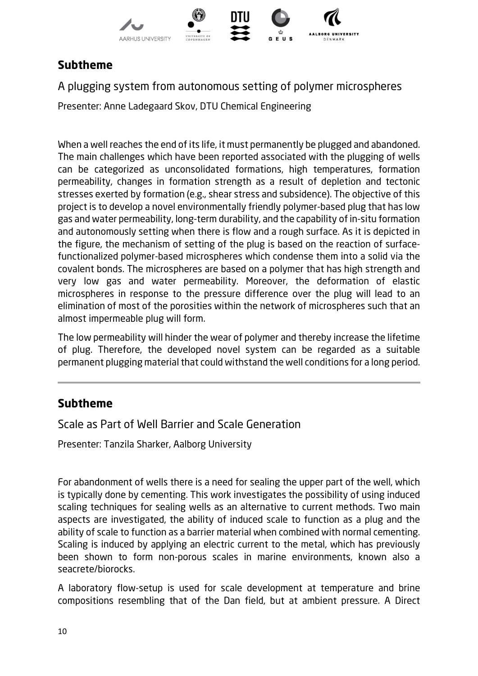

A plugging system from autonomous setting of polymer microspheres

Presenter: Anne Ladegaard Skov, DTU Chemical Engineering

When a well reaches the end of its life, it must permanently be plugged and abandoned. The main challenges which have been reported associated with the plugging of wells can be categorized as unconsolidated formations, high temperatures, formation permeability, changes in formation strength as a result of depletion and tectonic stresses exerted by formation (e.g., shear stress and subsidence). The objective of this project is to develop a novel environmentally friendly polymer-based plug that has low gas and water permeability, long-term durability, and the capability of in-situ formation and autonomously setting when there is flow and a rough surface. As it is depicted in the figure, the mechanism of setting of the plug is based on the reaction of surfacefunctionalized polymer-based microspheres which condense them into a solid via the covalent bonds. The microspheres are based on a polymer that has high strength and very low gas and water permeability. Moreover, the deformation of elastic microspheres in response to the pressure difference over the plug will lead to an elimination of most of the porosities within the network of microspheres such that an almost impermeable plug will form.

The low permeability will hinder the wear of polymer and thereby increase the lifetime of plug. Therefore, the developed novel system can be regarded as a suitable permanent plugging material that could withstand the well conditions for a long period.

#### **Subtheme**

Scale as Part of Well Barrier and Scale Generation

Presenter: Tanzila Sharker, Aalborg University

For abandonment of wells there is a need for sealing the upper part of the well, which is typically done by cementing. This work investigates the possibility of using induced scaling techniques for sealing wells as an alternative to current methods. Two main aspects are investigated, the ability of induced scale to function as a plug and the ability of scale to function as a barrier material when combined with normal cementing. Scaling is induced by applying an electric current to the metal, which has previously been shown to form non-porous scales in marine environments, known also a seacrete/biorocks.

A laboratory flow-setup is used for scale development at temperature and brine compositions resembling that of the Dan field, but at ambient pressure. A Direct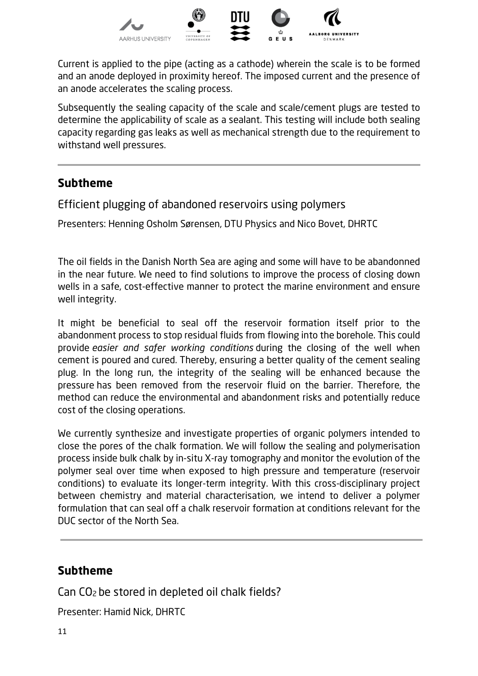

Current is applied to the pipe (acting as a cathode) wherein the scale is to be formed and an anode deployed in proximity hereof. The imposed current and the presence of an anode accelerates the scaling process.

Subsequently the sealing capacity of the scale and scale/cement plugs are tested to determine the applicability of scale as a sealant. This testing will include both sealing capacity regarding gas leaks as well as mechanical strength due to the requirement to withstand well pressures.

#### **Subtheme**

Efficient plugging of abandoned reservoirs using polymers

Presenters: Henning Osholm Sørensen, DTU Physics and Nico Bovet, DHRTC

The oil fields in the Danish North Sea are aging and some will have to be abandonned in the near future. We need to find solutions to improve the process of closing down wells in a safe, cost-effective manner to protect the marine environment and ensure well integrity.

It might be beneficial to seal off the reservoir formation itself prior to the abandonment process to stop residual fluids from flowing into the borehole. This could provide *easier and safer working conditions* during the closing of the well when cement is poured and cured. Thereby, ensuring a better quality of the cement sealing plug. In the long run, the integrity of the sealing will be enhanced because the pressure has been removed from the reservoir fluid on the barrier. Therefore, the method can reduce the environmental and abandonment risks and potentially reduce cost of the closing operations.

We currently synthesize and investigate properties of organic polymers intended to close the pores of the chalk formation. We will follow the sealing and polymerisation process inside bulk chalk by in-situ X-ray tomography and monitor the evolution of the polymer seal over time when exposed to high pressure and temperature (reservoir conditions) to evaluate its longer-term integrity. With this cross-disciplinary project between chemistry and material characterisation, we intend to deliver a polymer formulation that can seal off a chalk reservoir formation at conditions relevant for the DUC sector of the North Sea.

#### **Subtheme**

Can CO2 be stored in depleted oil chalk fields?

Presenter: Hamid Nick, DHRTC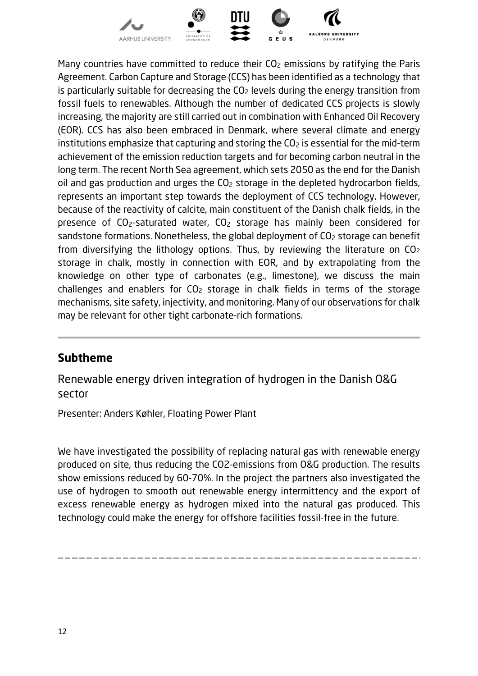

Many countries have committed to reduce their  $CO<sub>2</sub>$  emissions by ratifying the Paris Agreement. Carbon Capture and Storage (CCS) has been identified as a technology that is particularly suitable for decreasing the  $CO<sub>2</sub>$  levels during the energy transition from fossil fuels to renewables. Although the number of dedicated CCS projects is slowly increasing, the majority are still carried out in combination with Enhanced Oil Recovery (EOR). CCS has also been embraced in Denmark, where several climate and energy institutions emphasize that capturing and storing the  $CO<sub>2</sub>$  is essential for the mid-term achievement of the emission reduction targets and for becoming carbon neutral in the long term. The recent North Sea agreement, which sets 2050 as the end for the Danish oil and gas production and urges the CO<sub>2</sub> storage in the depleted hydrocarbon fields, represents an important step towards the deployment of CCS technology. However, because of the reactivity of calcite, main constituent of the Danish chalk fields, in the presence of CO2-saturated water, CO2 storage has mainly been considered for sandstone formations. Nonetheless, the global deployment of CO<sub>2</sub> storage can benefit from diversifying the lithology options. Thus, by reviewing the literature on  $CO<sub>2</sub>$ storage in chalk, mostly in connection with EOR, and by extrapolating from the knowledge on other type of carbonates (e.g., limestone), we discuss the main challenges and enablers for CO2 storage in chalk fields in terms of the storage mechanisms, site safety, injectivity, and monitoring. Many of our observations for chalk may be relevant for other tight carbonate-rich formations.

#### **Subtheme**

Renewable energy driven integration of hydrogen in the Danish O&G sector

Presenter: Anders Køhler, Floating Power Plant

We have investigated the possibility of replacing natural gas with renewable energy produced on site, thus reducing the CO2-emissions from O&G production. The results show emissions reduced by 60-70%. In the project the partners also investigated the use of hydrogen to smooth out renewable energy intermittency and the export of excess renewable energy as hydrogen mixed into the natural gas produced. This technology could make the energy for offshore facilities fossil-free in the future.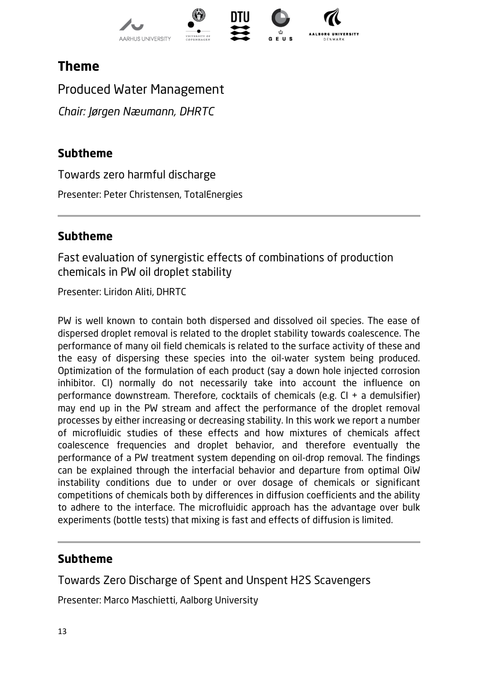

# **Theme**

Produced Water Management

*Chair: Jørgen Næumann, DHRTC*

#### **Subtheme**

Towards zero harmful discharge

Presenter: Peter Christensen, TotalEnergies

#### **Subtheme**

Fast evaluation of synergistic effects of combinations of production chemicals in PW oil droplet stability

Presenter: Liridon Aliti, DHRTC

PW is well known to contain both dispersed and dissolved oil species. The ease of dispersed droplet removal is related to the droplet stability towards coalescence. The performance of many oil field chemicals is related to the surface activity of these and the easy of dispersing these species into the oil-water system being produced. Optimization of the formulation of each product (say a down hole injected corrosion inhibitor. CI) normally do not necessarily take into account the influence on performance downstream. Therefore, cocktails of chemicals (e.g. CI + a demulsifier) may end up in the PW stream and affect the performance of the droplet removal processes by either increasing or decreasing stability. In this work we report a number of microfluidic studies of these effects and how mixtures of chemicals affect coalescence frequencies and droplet behavior, and therefore eventually the performance of a PW treatment system depending on oil-drop removal. The findings can be explained through the interfacial behavior and departure from optimal OiW instability conditions due to under or over dosage of chemicals or significant competitions of chemicals both by differences in diffusion coefficients and the ability to adhere to the interface. The microfluidic approach has the advantage over bulk experiments (bottle tests) that mixing is fast and effects of diffusion is limited.

#### **Subtheme**

Towards Zero Discharge of Spent and Unspent H2S Scavengers

Presenter: Marco Maschietti, Aalborg University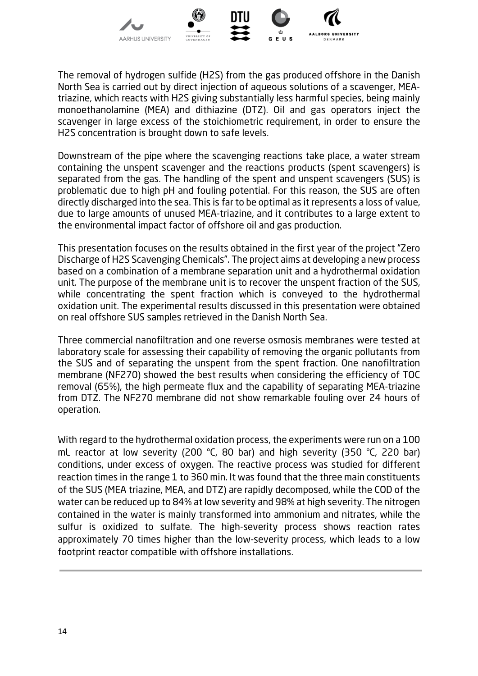

The removal of hydrogen sulfide (H2S) from the gas produced offshore in the Danish North Sea is carried out by direct injection of aqueous solutions of a scavenger, MEAtriazine, which reacts with H2S giving substantially less harmful species, being mainly monoethanolamine (MEA) and dithiazine (DTZ). Oil and gas operators inject the scavenger in large excess of the stoichiometric requirement, in order to ensure the H2S concentration is brought down to safe levels.

Downstream of the pipe where the scavenging reactions take place, a water stream containing the unspent scavenger and the reactions products (spent scavengers) is separated from the gas. The handling of the spent and unspent scavengers (SUS) is problematic due to high pH and fouling potential. For this reason, the SUS are often directly discharged into the sea. This is far to be optimal as it represents a loss of value, due to large amounts of unused MEA-triazine, and it contributes to a large extent to the environmental impact factor of offshore oil and gas production.

This presentation focuses on the results obtained in the first year of the project "Zero Discharge of H2S Scavenging Chemicals". The project aims at developing a new process based on a combination of a membrane separation unit and a hydrothermal oxidation unit. The purpose of the membrane unit is to recover the unspent fraction of the SUS, while concentrating the spent fraction which is conveyed to the hydrothermal oxidation unit. The experimental results discussed in this presentation were obtained on real offshore SUS samples retrieved in the Danish North Sea.

Three commercial nanofiltration and one reverse osmosis membranes were tested at laboratory scale for assessing their capability of removing the organic pollutants from the SUS and of separating the unspent from the spent fraction. One nanofiltration membrane (NF270) showed the best results when considering the efficiency of TOC removal (65%), the high permeate flux and the capability of separating MEA-triazine from DTZ. The NF270 membrane did not show remarkable fouling over 24 hours of operation.

With regard to the hydrothermal oxidation process, the experiments were run on a 100 mL reactor at low severity (200 °C, 80 bar) and high severity (350 °C, 220 bar) conditions, under excess of oxygen. The reactive process was studied for different reaction times in the range 1 to 360 min. It was found that the three main constituents of the SUS (MEA triazine, MEA, and DTZ) are rapidly decomposed, while the COD of the water can be reduced up to 84% at low severity and 98% at high severity. The nitrogen contained in the water is mainly transformed into ammonium and nitrates, while the sulfur is oxidized to sulfate. The high-severity process shows reaction rates approximately 70 times higher than the low-severity process, which leads to a low footprint reactor compatible with offshore installations.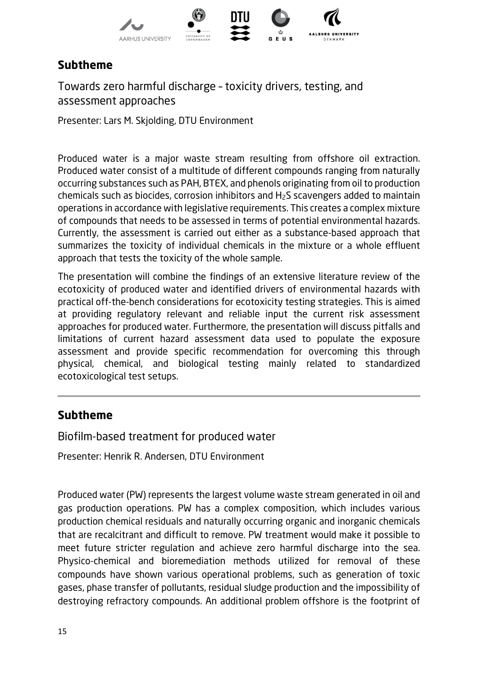

Towards zero harmful discharge – toxicity drivers, testing, and assessment approaches

Presenter: Lars M. Skjolding, DTU Environment

Produced water is a major waste stream resulting from offshore oil extraction. Produced water consist of a multitude of different compounds ranging from naturally occurring substances such as PAH, BTEX, and phenols originating from oil to production chemicals such as biocides, corrosion inhibitors and H2S scavengers added to maintain operations in accordance with legislative requirements. This creates a complex mixture of compounds that needs to be assessed in terms of potential environmental hazards. Currently, the assessment is carried out either as a substance-based approach that summarizes the toxicity of individual chemicals in the mixture or a whole effluent approach that tests the toxicity of the whole sample.

The presentation will combine the findings of an extensive literature review of the ecotoxicity of produced water and identified drivers of environmental hazards with practical off-the-bench considerations for ecotoxicity testing strategies. This is aimed at providing regulatory relevant and reliable input the current risk assessment approaches for produced water. Furthermore, the presentation will discuss pitfalls and limitations of current hazard assessment data used to populate the exposure assessment and provide specific recommendation for overcoming this through physical, chemical, and biological testing mainly related to standardized ecotoxicological test setups.

#### **Subtheme**

Biofilm-based treatment for produced water

Presenter: Henrik R. Andersen, DTU Environment

Produced water (PW) represents the largest volume waste stream generated in oil and gas production operations. PW has a complex composition, which includes various production chemical residuals and naturally occurring organic and inorganic chemicals that are recalcitrant and difficult to remove. PW treatment would make it possible to meet future stricter regulation and achieve zero harmful discharge into the sea. Physico-chemical and bioremediation methods utilized for removal of these compounds have shown various operational problems, such as generation of toxic gases, phase transfer of pollutants, residual sludge production and the impossibility of destroying refractory compounds. An additional problem offshore is the footprint of